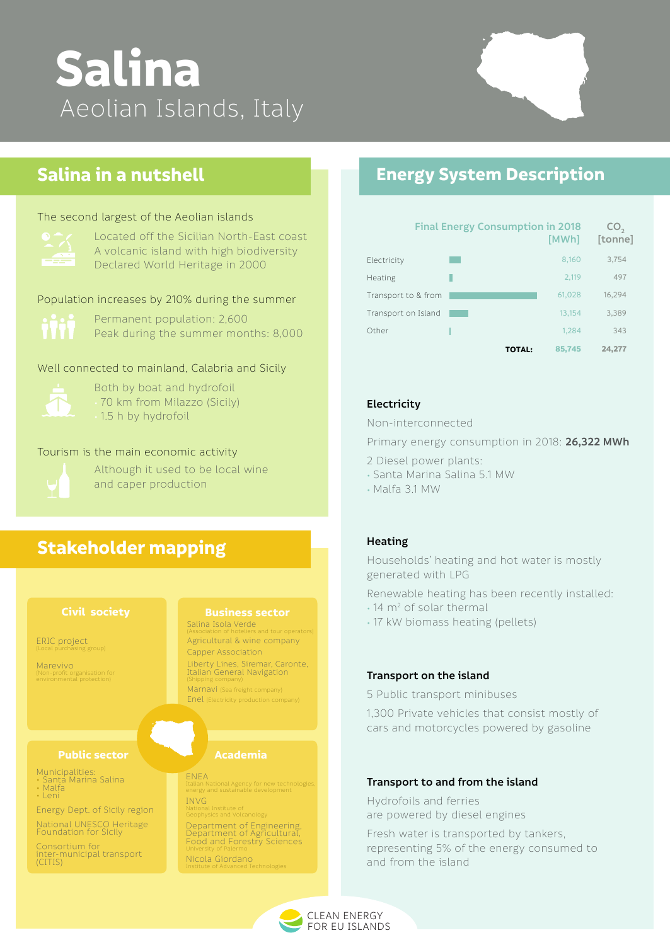CLEAN ENERGY FOR EU ISLANDS

# **Salina** Aeolian Islands, Italy

### **Energy System Description**

# **Stakeholder mapping**

## **Salina in a nutshell**

Permanent population: 2,600 Peak during the summer months: 8,000

#### Population increases by 210% during the summer

Well connected to mainland, Calabria and Sicily



Both by boat and hydrofoil • 70 km from Milazzo (Sicily) • 1.5 h by hydrofoil

### **Electricity**

Non-interconnected

Primary energy consumption in 2018: **26,322 MWh**

- 2 Diesel power plants:
- Santa Marina Salina 5.1 MW
- Malfa 3.1 MW

#### **Heating**

Households' heating and hot water is mostly generated with LPG

Renewable heating has been recently installed:

- 14 m<sup>2</sup> of solar thermal
- 17 kW biomass heating (pellets)

#### **Transport on the island**

#### 5 Public transport minibuses

#### Public sector **Academia**

1,300 Private vehicles that consist mostly of cars and motorcycles powered by gasoline

#### **Transport to and from the island**

Hydrofoils and ferries are powered by diesel engines

Fresh water is transported by tankers, representing 5% of the energy consumed to and from the island

#### **Civil society**

#### **Business sector**

ERIC project (Local purchasing group) Salina Isola Verde (Association of hoteliers and tour operators)

Liberty Lines, Siremar, Caronte, Italian General Navigation (Shipping company)

Marnavi (Sea freight company)

Enel (Electricity production company)

Agricultural & wine company Capper Association





Marevivo (Non-profit organisation for environmental protection)

Municipalities:

- Santa Marina Salina
- Malfa
- Leni

National UNESCO Heritage Foundation for Sicily

Consortium for inter-municipal transport (CITIS)

Energy Dept. of Sicily region

ENEA Italian National Agency for new technologies, energy and sustainable development

INVG National Institute of Geophysics and Volcanology

Department of Engineering, Department of Agricultural, Food and Forestry Sciences University of Palermo

Nicola Giordano Institute of Advanced Technologies

Located off the Sicilian North-East coast A volcanic island with high biodiversity Declared World Heritage in 2000

#### The second largest of the Aeolian islands



#### Tourism is the main economic activity



Although it used to be local wine and caper production